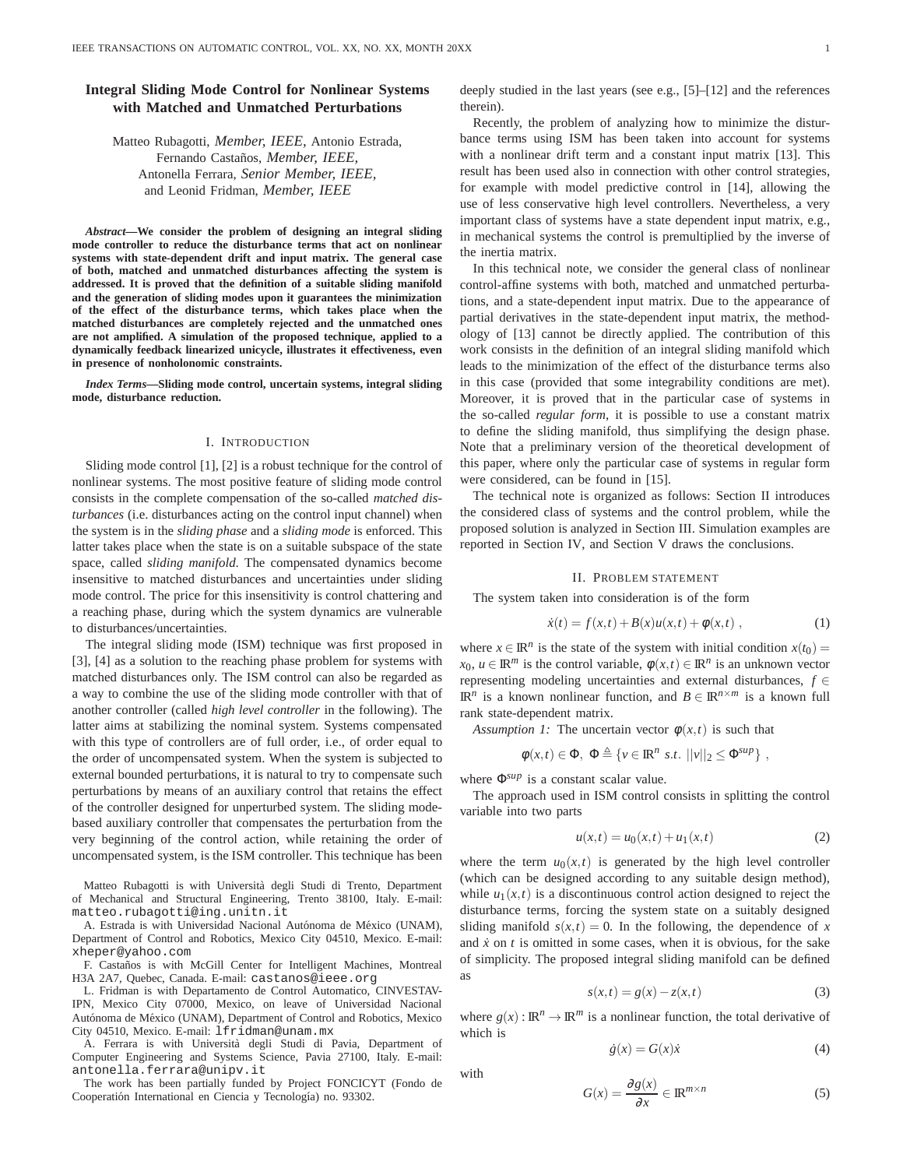# **Integral Sliding Mode Control for Nonlinear Systems with Matched and Unmatched Perturbations**

Matteo Rubagotti, *Member, IEEE,* Antonio Estrada, Fernando Casta˜nos, *Member, IEEE,* Antonella Ferrara, *Senior Member, IEEE,* and Leonid Fridman, *Member, IEEE*

*Abstract***—We consider the problem of designing an integral sliding mode controller to reduce the disturbance terms that act on nonlinear systems with state-dependent drift and input matrix. The general case of both, matched and unmatched disturbances affecting the system is addressed. It is proved that the definition of a suitable sliding manifold and the generation of sliding modes upon it guarantees the minimization of the effect of the disturbance terms, which takes place when the matched disturbances are completely rejected and the unmatched ones are not amplified. A simulation of the proposed technique, applied to a dynamically feedback linearized unicycle, illustrates it effectiveness, even in presence of nonholonomic constraints.**

*Index Terms***—Sliding mode control, uncertain systems, integral sliding mode, disturbance reduction.**

#### I. INTRODUCTION

Sliding mode control [1], [2] is a robust technique for the control of nonlinear systems. The most positive feature of sliding mode control consists in the complete compensation of the so-called *matched disturbances* (i.e. disturbances acting on the control input channel) when the system is in the *sliding phase* and a *sliding mode* is enforced. This latter takes place when the state is on a suitable subspace of the state space, called *sliding manifold*. The compensated dynamics become insensitive to matched disturbances and uncertainties under sliding mode control. The price for this insensitivity is control chattering and a reaching phase, during which the system dynamics are vulnerable to disturbances/uncertainties.

The integral sliding mode (ISM) technique was first proposed in [3], [4] as a solution to the reaching phase problem for systems with matched disturbances only. The ISM control can also be regarded as a way to combine the use of the sliding mode controller with that of another controller (called *high level controller* in the following). The latter aims at stabilizing the nominal system. Systems compensated with this type of controllers are of full order, i.e., of order equal to the order of uncompensated system. When the system is subjected to external bounded perturbations, it is natural to try to compensate such perturbations by means of an auxiliary control that retains the effect of the controller designed for unperturbed system. The sliding modebased auxiliary controller that compensates the perturbation from the very beginning of the control action, while retaining the order of uncompensated system, is the ISM controller. This technique has been

Matteo Rubagotti is with Università degli Studi di Trento, Department of Mechanical and Structural Engineering, Trento 38100, Italy. E-mail: matteo.rubagotti@ing.unitn.it

A. Estrada is with Universidad Nacional Autónoma de México (UNAM), Department of Control and Robotics, Mexico City 04510, Mexico. E-mail: xheper@yahoo.com

F. Castaños is with McGill Center for Intelligent Machines, Montreal H3A 2A7, Quebec, Canada. E-mail: castanos@ieee.org

L. Fridman is with Departamento de Control Automatico, CINVESTAV-IPN, Mexico City 07000, Mexico, on leave of Universidad Nacional Autónoma de México (UNAM), Department of Control and Robotics, Mexico City 04510, Mexico. E-mail: lfridman@unam.mx

A. Ferrara is with Università degli Studi di Pavia, Department of Computer Engineering and Systems Science, Pavia 27100, Italy. E-mail: antonella.ferrara@unipv.it

The work has been partially funded by Project FONCICYT (Fondo de Cooperatión International en Ciencia y Tecnología) no. 93302.

deeply studied in the last years (see e.g., [5]–[12] and the references therein).

Recently, the problem of analyzing how to minimize the disturbance terms using ISM has been taken into account for systems with a nonlinear drift term and a constant input matrix [13]. This result has been used also in connection with other control strategies, for example with model predictive control in [14], allowing the use of less conservative high level controllers. Nevertheless, a very important class of systems have a state dependent input matrix, e.g., in mechanical systems the control is premultiplied by the inverse of the inertia matrix.

In this technical note, we consider the general class of nonlinear control-affine systems with both, matched and unmatched perturbations, and a state-dependent input matrix. Due to the appearance of partial derivatives in the state-dependent input matrix, the methodology of [13] cannot be directly applied. The contribution of this work consists in the definition of an integral sliding manifold which leads to the minimization of the effect of the disturbance terms also in this case (provided that some integrability conditions are met). Moreover, it is proved that in the particular case of systems in the so-called *regular form*, it is possible to use a constant matrix to define the sliding manifold, thus simplifying the design phase. Note that a preliminary version of the theoretical development of this paper, where only the particular case of systems in regular form were considered, can be found in [15].

The technical note is organized as follows: Section II introduces the considered class of systems and the control problem, while the proposed solution is analyzed in Section III. Simulation examples are reported in Section IV, and Section V draws the conclusions.

### II. PROBLEM STATEMENT

The system taken into consideration is of the form

$$
\dot{x}(t) = f(x,t) + B(x)u(x,t) + \phi(x,t) , \qquad (1)
$$

where  $x \in \mathbb{R}^n$  is the state of the system with initial condition  $x(t_0) =$ *x*<sub>0</sub>, *u* ∈ **IR**<sup>*m*</sup> is the control variable,  $\phi(x,t) \in \mathbb{R}^n$  is an unknown vector representing modeling uncertainties and external disturbances, *f* ∈  $\mathbb{R}^n$  is a known nonlinear function, and  $B \in \mathbb{R}^{n \times m}$  is a known full rank state-dependent matrix.

*Assumption 1:* The uncertain vector  $\phi(x,t)$  is such that

 $\phi(x,t) \in \Phi$ ,  $\Phi \triangleq \{v \in \mathbb{R}^n \text{ s.t. } ||v||_2 \leq \Phi^{sup}\},$ 

where Φ*sup* is a constant scalar value.

The approach used in ISM control consists in splitting the control variable into two parts

$$
u(x,t) = u_0(x,t) + u_1(x,t)
$$
 (2)

where the term  $u_0(x,t)$  is generated by the high level controller (which can be designed according to any suitable design method), while  $u_1(x,t)$  is a discontinuous control action designed to reject the disturbance terms, forcing the system state on a suitably designed sliding manifold  $s(x,t) = 0$ . In the following, the dependence of x and  $\dot{x}$  on  $t$  is omitted in some cases, when it is obvious, for the sake of simplicity. The proposed integral sliding manifold can be defined as

$$
s(x,t) = g(x) - z(x,t)
$$
\n<sup>(3)</sup>

where  $g(x): \mathbb{R}^n \to \mathbb{R}^m$  is a nonlinear function, the total derivative of which is

$$
\dot{g}(x) = G(x)\dot{x} \tag{4}
$$

with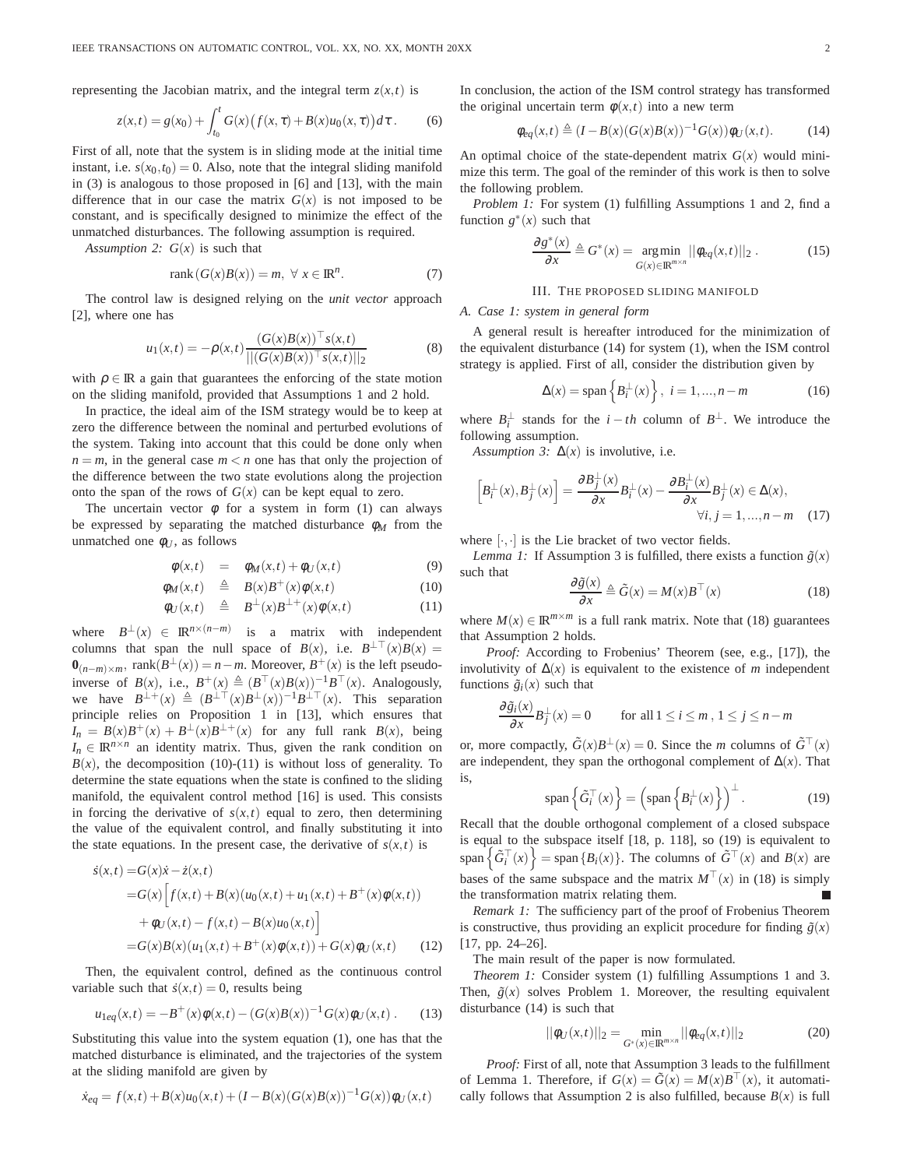representing the Jacobian matrix, and the integral term  $z(x,t)$  is

$$
z(x,t) = g(x_0) + \int_{t_0}^t G(x) (f(x,\tau) + B(x)u_0(x,\tau)) d\tau.
$$
 (6)

First of all, note that the system is in sliding mode at the initial time instant, i.e.  $s(x_0, t_0) = 0$ . Also, note that the integral sliding manifold in (3) is analogous to those proposed in [6] and [13], with the main difference that in our case the matrix  $G(x)$  is not imposed to be constant, and is specifically designed to minimize the effect of the unmatched disturbances. The following assumption is required.

*Assumption 2:*  $G(x)$  is such that

$$
rank(G(x)B(x)) = m, \forall x \in \mathbb{R}^n.
$$
 (7)

The control law is designed relying on the *unit vector* approach [2], where one has

$$
u_1(x,t) = -\rho(x,t) \frac{(G(x)B(x))^\top s(x,t)}{|| (G(x)B(x))^\top s(x,t) ||_2}
$$
 (8)

with  $\rho \in \mathbb{R}$  a gain that guarantees the enforcing of the state motion on the sliding manifold, provided that Assumptions 1 and 2 hold.

In practice, the ideal aim of the ISM strategy would be to keep at zero the difference between the nominal and perturbed evolutions of the system. Taking into account that this could be done only when  $n = m$ , in the general case  $m < n$  one has that only the projection of the difference between the two state evolutions along the projection onto the span of the rows of  $G(x)$  can be kept equal to zero.

The uncertain vector  $\phi$  for a system in form (1) can always be expressed by separating the matched disturbance  $\phi_M$  from the unmatched one  $\phi_{U}$ , as follows

$$
\phi(x,t) = \phi_M(x,t) + \phi_U(x,t) \tag{9}
$$

$$
\phi_M(x,t) \quad \triangleq \quad B(x)B^+(x)\phi(x,t) \tag{10}
$$

$$
\phi_U(x,t) \quad \triangleq \quad B^\perp(x)B^{\perp+}(x)\phi(x,t) \tag{11}
$$

where  $B^{\perp}(x) \in \mathbb{R}^{n \times (n-m)}$  is a matrix with independent columns that span the null space of *B*(*x*), i.e.  $B^{\perp\top}(x)B(x) =$  $\mathbf{0}_{(n-m)\times m}$ , rank $(B^{\perp}(x)) = n-m$ . Moreover,  $B^+(x)$  is the left pseudoinverse of *B*(*x*), i.e.,  $B^+(x) \triangleq (B^{\top}(x)B(x))^{-1}B^{\top}(x)$ . Analogously, we have  $B^{\perp +}(x) \triangleq (B^{\perp \top}(x)B^{\perp}(x))^{-1}B^{\perp \top}(x)$ . This separation principle relies on Proposition 1 in [13], which ensures that  $I_n = B(x)B^+(x) + B^{\perp}(x)B^{\perp+}(x)$  for any full rank *B*(*x*), being  $I_n \in \mathbb{R}^{n \times n}$  an identity matrix. Thus, given the rank condition on  $B(x)$ , the decomposition (10)-(11) is without loss of generality. To determine the state equations when the state is confined to the sliding manifold, the equivalent control method [16] is used. This consists in forcing the derivative of  $s(x,t)$  equal to zero, then determining the value of the equivalent control, and finally substituting it into the state equations. In the present case, the derivative of  $s(x,t)$  is

$$
s(x,t) = G(x)\dot{x} - \dot{z}(x,t)
$$
  
=  $G(x)\Big[f(x,t) + B(x)(u_0(x,t) + u_1(x,t) + B^+(x)\phi(x,t))$   
+  $\phi_U(x,t) - f(x,t) - B(x)u_0(x,t)\Big]$   
=  $G(x)B(x)(u_1(x,t) + B^+(x)\phi(x,t)) + G(x)\phi_U(x,t)$  (12)

Then, the equivalent control, defined as the continuous control variable such that  $\dot{s}(x,t) = 0$ , results being

$$
u_{1eq}(x,t) = -B^{+}(x)\phi(x,t) - (G(x)B(x))^{-1}G(x)\phi_U(x,t) .
$$
 (13)

Substituting this value into the system equation (1), one has that the matched disturbance is eliminated, and the trajectories of the system at the sliding manifold are given by

$$
\dot{x}_{eq} = f(x,t) + B(x)u_0(x,t) + (I - B(x)(G(x)B(x))^{-1}G(x))\phi_U(x,t)
$$

In conclusion, the action of the ISM control strategy has transformed the original uncertain term  $\phi(x,t)$  into a new term

$$
\phi_{eq}(x,t) \triangleq (I - B(x)(G(x)B(x))^{-1}G(x))\phi_U(x,t). \tag{14}
$$

An optimal choice of the state-dependent matrix  $G(x)$  would minimize this term. The goal of the reminder of this work is then to solve the following problem.

*Problem 1:* For system (1) fulfilling Assumptions 1 and 2, find a function  $g^*(x)$  such that

$$
\frac{\partial g^*(x)}{\partial x} \triangleq G^*(x) = \underset{G(x) \in \mathbb{R}^{m \times n}}{\arg \min} ||\phi_{eq}(x,t)||_2 . \tag{15}
$$

### III. THE PROPOSED SLIDING MANIFOLD

### *A. Case 1: system in general form*

A general result is hereafter introduced for the minimization of the equivalent disturbance (14) for system (1), when the ISM control strategy is applied. First of all, consider the distribution given by

$$
\Delta(x) = \text{span}\left\{B_i^{\perp}(x)\right\}, \ i = 1, \dots, n-m \tag{16}
$$

where  $B_i^{\perp}$  stands for the  $i - th$  column of  $B^{\perp}$ . We introduce the following assumption.

*Assumption 3:*  $\Delta(x)$  is involutive, i.e.

$$
\[B_i^{\perp}(x), B_j^{\perp}(x)\] = \frac{\partial B_j^{\perp}(x)}{\partial x} B_i^{\perp}(x) - \frac{\partial B_i^{\perp}(x)}{\partial x} B_j^{\perp}(x) \in \Delta(x),
$$
  
 
$$
\forall i, j = 1, ..., n - m \quad (17)
$$

where  $[\cdot, \cdot]$  is the Lie bracket of two vector fields.

*Lemma 1:* If Assumption 3 is fulfilled, there exists a function  $\tilde{g}(x)$ such that

$$
\frac{\partial \tilde{g}(x)}{\partial x} \triangleq \tilde{G}(x) = M(x)B^{\top}(x)
$$
\n(18)

where  $M(x) \in \mathbb{R}^{m \times m}$  is a full rank matrix. Note that (18) guarantees that Assumption 2 holds.

*Proof:* According to Frobenius' Theorem (see, e.g., [17]), the involutivity of  $\Delta(x)$  is equivalent to the existence of *m* independent functions  $\tilde{g}_i(x)$  such that

$$
\frac{\partial \tilde{g}_i(x)}{\partial x} B_j^{\perp}(x) = 0 \qquad \text{for all } 1 \le i \le m, 1 \le j \le n - m
$$

or, more compactly,  $\tilde{G}(x)B^{\perp}(x) = 0$ . Since the *m* columns of  $\tilde{G}^{\top}(x)$ are independent, they span the orthogonal complement of  $\Delta(x)$ . That is,

$$
\text{span}\left\{\tilde{G}_i^\top(x)\right\} = \left(\text{span}\left\{B_i^\perp(x)\right\}\right)^\perp. \tag{19}
$$

Recall that the double orthogonal complement of a closed subspace is equal to the subspace itself [18, p. 118], so (19) is equivalent to  $\text{span}\left\{\tilde{G}_i^\top(x)\right\} = \text{span}\left\{B_i(x)\right\}.$  The columns of  $\tilde{G}^\top(x)$  and  $B(x)$  are bases of the same subspace and the matrix  $M^{\top}(x)$  in (18) is simply the transformation matrix relating them.

*Remark 1:* The sufficiency part of the proof of Frobenius Theorem is constructive, thus providing an explicit procedure for finding  $\tilde{g}(x)$ [17, pp. 24–26].

The main result of the paper is now formulated.

*Theorem 1:* Consider system (1) fulfilling Assumptions 1 and 3. Then,  $\tilde{g}(x)$  solves Problem 1. Moreover, the resulting equivalent disturbance (14) is such that

$$
||\phi_U(x,t)||_2 = \min_{G^*(x) \in \mathbb{R}^{m \times n}} ||\phi_{eq}(x,t)||_2
$$
 (20)

*Proof:* First of all, note that Assumption 3 leads to the fulfillment of Lemma 1. Therefore, if  $G(x) = \tilde{G}(x) = M(x)B^{\top}(x)$ , it automatically follows that Assumption 2 is also fulfilled, because  $B(x)$  is full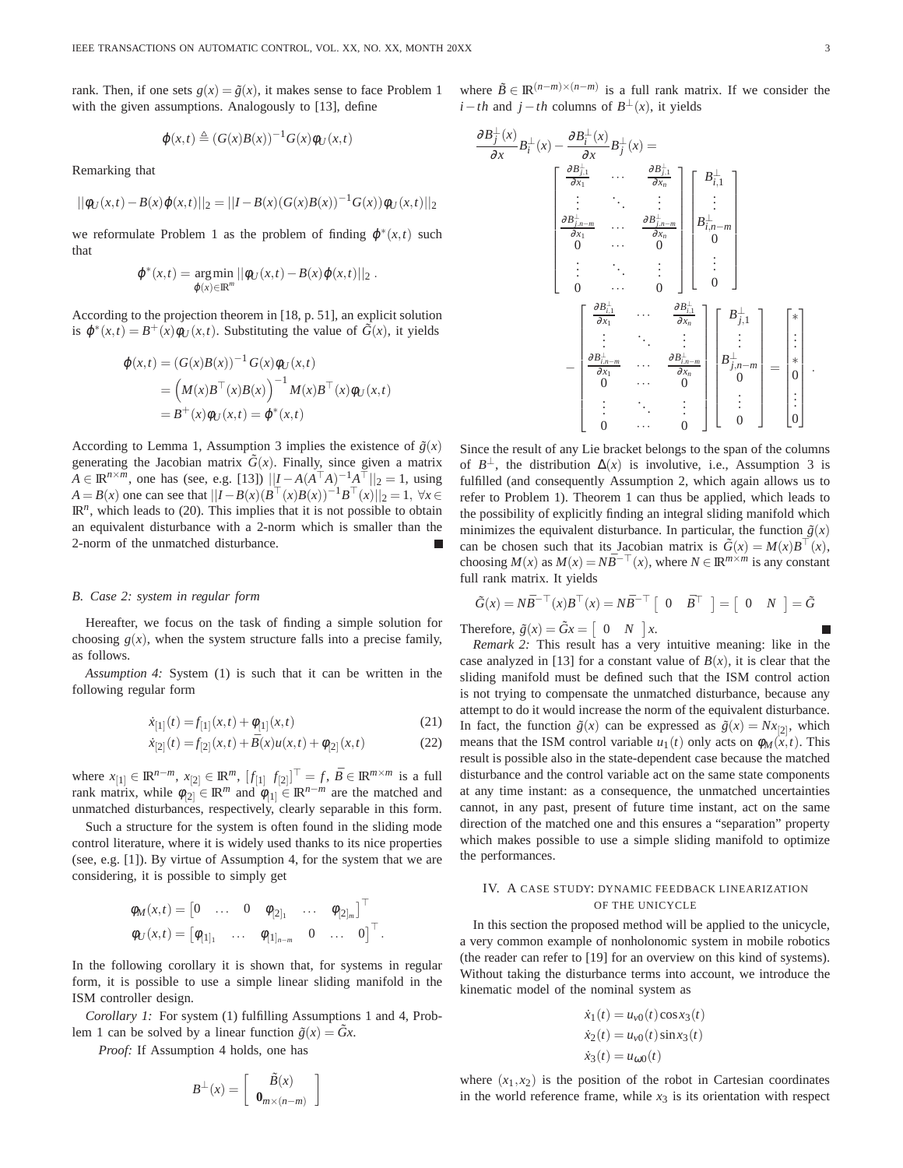rank. Then, if one sets  $g(x) = \tilde{g}(x)$ , it makes sense to face Problem 1 with the given assumptions. Analogously to [13], define

$$
\varphi(x,t) \triangleq (G(x)B(x))^{-1}G(x)\varphi_U(x,t)
$$

Remarking that

$$
||\phi_U(x,t) - B(x)\phi(x,t)||_2 = ||I - B(x)(G(x)B(x))^{-1}G(x))\phi_U(x,t)||_2
$$

we reformulate Problem 1 as the problem of finding  $\varphi^*(x,t)$  such that

$$
\varphi^*(x,t) = \underset{\varphi(x) \in \mathbb{R}^m}{\arg \min} ||\varphi_U(x,t) - B(x)\varphi(x,t)||_2.
$$

According to the projection theorem in [18, p. 51], an explicit solution is  $\varphi^*(x,t) = B^+(x)\varphi_U(x,t)$ . Substituting the value of  $\tilde{G}(x)$ , it yields

$$
\varphi(x,t) = (G(x)B(x))^{-1} G(x)\varphi_U(x,t)
$$
  
= 
$$
(M(x)B^{\top}(x)B(x))^{-1} M(x)B^{\top}(x)\varphi_U(x,t)
$$
  
= 
$$
B^+(x)\varphi_U(x,t) = \varphi^*(x,t)
$$

According to Lemma 1, Assumption 3 implies the existence of  $\tilde{g}(x)$ generating the Jacobian matrix  $\tilde{G}(x)$ . Finally, since given a matrix *A* ∈ **IR**<sup>*n*×*m*</sup>, one has (see, e.g. [13])  $||I - A(A^T A)^{-1}A^T||_2 = 1$ , using *A* = *B*(*x*) one can see that  $||I - B(x)(B<sup>T</sup>(x)B(x))^{-1}B<sup>T</sup>(x)||_2 = 1$ , ∀*x* ∈  $\mathbb{R}^n$ , which leads to (20). This implies that it is not possible to obtain an equivalent disturbance with a 2-norm which is smaller than the 2-norm of the unmatched disturbance.

#### *B. Case 2: system in regular form*

Hereafter, we focus on the task of finding a simple solution for choosing  $g(x)$ , when the system structure falls into a precise family, as follows.

*Assumption 4:* System (1) is such that it can be written in the following regular form

$$
\dot{x}_{[1]}(t) = f_{[1]}(x, t) + \phi_{[1]}(x, t) \tag{21}
$$

$$
\dot{x}_{[2]}(t) = f_{[2]}(x,t) + \bar{B}(x)u(x,t) + \phi_{[2]}(x,t)
$$
\n(22)

where  $x_{[1]} \in \mathbb{R}^{n-m}$ ,  $x_{[2]} \in \mathbb{R}^m$ ,  $[f_{[1]} \ f_{[2]}]^{\top} = f$ ,  $\bar{B} \in \mathbb{R}^{m \times m}$  is a full rank matrix, while  $\phi_{[2]} \in \mathbb{R}^m$  and  $\phi_{[1]} \in \mathbb{R}^{n-m}$  are the matched and unmatched disturbances, respectively, clearly separable in this form.

Such a structure for the system is often found in the sliding mode control literature, where it is widely used thanks to its nice properties (see, e.g. [1]). By virtue of Assumption 4, for the system that we are considering, it is possible to simply get

$$
\begin{aligned}\n\phi_M(x,t) &= \begin{bmatrix} 0 & \dots & 0 & \phi_{[2]_1} & \dots & \phi_{[2]_m} \end{bmatrix}^\top \\
\phi_U(x,t) &= \begin{bmatrix} \phi_{[1]_1} & \dots & \phi_{[1]_{n-m}} & 0 & \dots & 0 \end{bmatrix}^\top.\n\end{aligned}
$$

In the following corollary it is shown that, for systems in regular form, it is possible to use a simple linear sliding manifold in the ISM controller design.

*Corollary 1:* For system (1) fulfilling Assumptions 1 and 4, Problem 1 can be solved by a linear function  $\tilde{g}(x) = \tilde{G}x$ .

*Proof:* If Assumption 4 holds, one has

$$
B^{\perp}(x) = \left[ \begin{array}{c} \tilde{B}(x) \\ \mathbf{0}_{m \times (n-m)} \end{array} \right]
$$

where  $\tilde{B} \in \mathbb{R}^{(n-m)\times(n-m)}$  is a full rank matrix. If we consider the *i*−*th* and *j*−*th* columns of *B*<sup>⊥</sup>(*x*), it yields

$$
\frac{\partial B_j^{\perp}(x)}{\partial x} B_i^{\perp}(x) - \frac{\partial B_i^{\perp}(x)}{\partial x} B_j^{\perp}(x) =
$$
\n
$$
\begin{bmatrix}\n\frac{\partial B_{j,1}^{\perp}}{\partial x_1} & \cdots & \frac{\partial B_{j,1}^{\perp}}{\partial x_n} \\
\vdots & \ddots & \vdots \\
\frac{\partial B_{j,n-m}^{\perp}}{\partial x_1} & \cdots & \frac{\partial B_{j,n-m}^{\perp}}{\partial x_n} \\
0 & \cdots & 0\n\end{bmatrix}\n\begin{bmatrix}\nB_{i,1}^{\perp} \\
\vdots \\
B_{i,n-m}^{\perp} \\
0\n\end{bmatrix}
$$
\n
$$
=\n\begin{bmatrix}\n\frac{\partial B_{i,1}^{\perp}}{\partial x_1} & \cdots & \frac{\partial B_{j,1}^{\perp}}{\partial x_n} \\
\vdots & \ddots & \vdots \\
0 & \cdots & 0\n\end{bmatrix}\n\begin{bmatrix}\nB_{j,1}^{\perp} \\
B_{j,n-m}^{\perp} \\
0\n\end{bmatrix} =\n\begin{bmatrix}\n\bar{x} \\
\bar{x} \\
\bar{x} \\
\bar{x} \\
\bar{x} \\
\bar{x} \\
\bar{x} \\
\bar{x}\n\end{bmatrix}
$$
\n
$$
=\n\begin{bmatrix}\n\frac{\partial B_{i,1}^{\perp}}{\partial x_1} & \cdots & \frac{\partial B_{i,1}^{\perp}}{\partial x_n} \\
\frac{\partial B_{j,n-m}^{\perp}}{\partial x_1} & \cdots & \frac{\partial B_{j,n-m}^{\perp}}{\partial x_n} \\
0 & \cdots & 0 \\
0 & \cdots & 0\n\end{bmatrix} =\n\begin{bmatrix}\n\bar{x} \\
\bar{y} \\
\bar{z} \\
\bar{z} \\
\bar{z} \\
\bar{z} \\
\bar{z}\n\end{bmatrix}.
$$

Since the result of any Lie bracket belongs to the span of the columns of  $B^{\perp}$ , the distribution  $\Delta(x)$  is involutive, i.e., Assumption 3 is fulfilled (and consequently Assumption 2, which again allows us to refer to Problem 1). Theorem 1 can thus be applied, which leads to the possibility of explicitly finding an integral sliding manifold which minimizes the equivalent disturbance. In particular, the function  $\tilde{g}(x)$ can be chosen such that its Jacobian matrix is  $\tilde{G}(x) = M(x)B^{\top}(x)$ , choosing  $M(x)$  as  $M(x) = N\overline{B}^{-\top}(x)$ , where  $N \in \mathbb{R}^{m \times m}$  is any constant full rank matrix. It yields

$$
\tilde{G}(x) = N\bar{B}^{-\top}(x)B^{\top}(x) = N\bar{B}^{-\top} \begin{bmatrix} 0 & \bar{B}^{\top} \end{bmatrix} = \begin{bmatrix} 0 & N \end{bmatrix} = \tilde{G}
$$

Therefore,  $\tilde{g}(x) = \tilde{G}x = \begin{bmatrix} 0 & N \end{bmatrix}x$ .

*Remark 2:* This result has a very intuitive meaning: like in the case analyzed in [13] for a constant value of  $B(x)$ , it is clear that the sliding manifold must be defined such that the ISM control action is not trying to compensate the unmatched disturbance, because any attempt to do it would increase the norm of the equivalent disturbance. In fact, the function  $\tilde{g}(x)$  can be expressed as  $\tilde{g}(x) = Nx_{[2]}$ , which means that the ISM control variable  $u_1(t)$  only acts on  $\phi_M(x,t)$ . This result is possible also in the state-dependent case because the matched disturbance and the control variable act on the same state components at any time instant: as a consequence, the unmatched uncertainties cannot, in any past, present of future time instant, act on the same direction of the matched one and this ensures a "separation" property which makes possible to use a simple sliding manifold to optimize the performances.

## IV. A CASE STUDY: DYNAMIC FEEDBACK LINEARIZATION OF THE UNICYCLE

In this section the proposed method will be applied to the unicycle, a very common example of nonholonomic system in mobile robotics (the reader can refer to [19] for an overview on this kind of systems). Without taking the disturbance terms into account, we introduce the kinematic model of the nominal system as

$$
\dot{x}_1(t) = u_{v0}(t)\cos x_3(t)
$$
  
\n
$$
\dot{x}_2(t) = u_{v0}(t)\sin x_3(t)
$$
  
\n
$$
\dot{x}_3(t) = u_{\omega 0}(t)
$$

where  $(x_1, x_2)$  is the position of the robot in Cartesian coordinates in the world reference frame, while  $x_3$  is its orientation with respect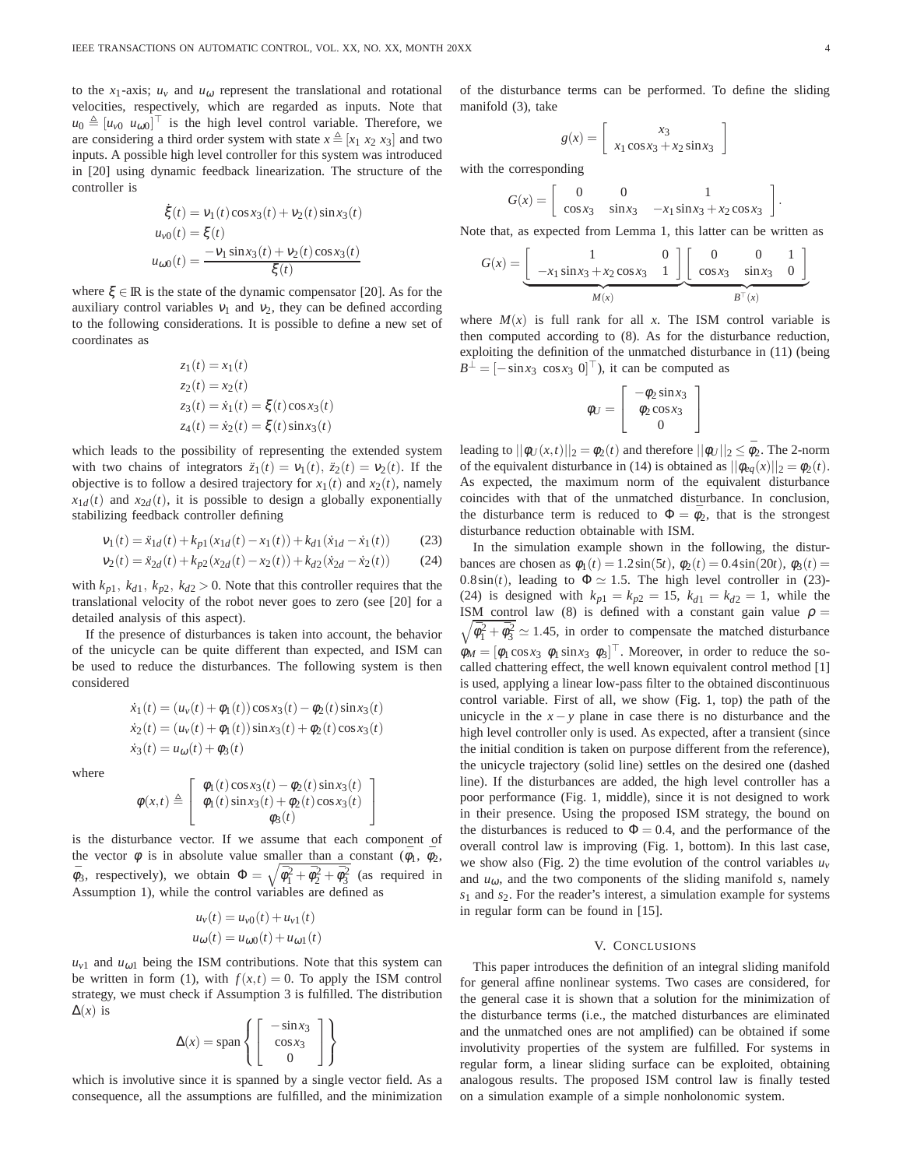to the  $x_1$ -axis;  $u_y$  and  $u_{\omega}$  represent the translational and rotational velocities, respectively, which are regarded as inputs. Note that  $u_0 \triangleq [u_{\nu 0} \ u_{\omega 0}]^\top$  is the high level control variable. Therefore, we are considering a third order system with state  $x \triangleq [x_1 \ x_2 \ x_3]$  and two inputs. A possible high level controller for this system was introduced in [20] using dynamic feedback linearization. The structure of the controller is

$$
\dot{\xi}(t) = v_1(t)\cos x_3(t) + v_2(t)\sin x_3(t)
$$
  
\n
$$
u_{v0}(t) = \xi(t)
$$
  
\n
$$
u_{\omega0}(t) = \frac{-v_1\sin x_3(t) + v_2(t)\cos x_3(t)}{\xi(t)}
$$

where  $\xi \in \mathbb{R}$  is the state of the dynamic compensator [20]. As for the auxiliary control variables  $v_1$  and  $v_2$ , they can be defined according to the following considerations. It is possible to define a new set of coordinates as

$$
z_1(t) = x_1(t)
$$
  
\n
$$
z_2(t) = x_2(t)
$$
  
\n
$$
z_3(t) = \dot{x}_1(t) = \xi(t) \cos x_3(t)
$$
  
\n
$$
z_4(t) = \dot{x}_2(t) = \xi(t) \sin x_3(t)
$$

which leads to the possibility of representing the extended system with two chains of integrators  $\ddot{z}_1(t) = v_1(t), \ddot{z}_2(t) = v_2(t)$ . If the objective is to follow a desired trajectory for  $x_1(t)$  and  $x_2(t)$ , namely  $x_{1d}(t)$  and  $x_{2d}(t)$ , it is possible to design a globally exponentially stabilizing feedback controller defining

$$
v_1(t) = \ddot{x}_{1d}(t) + k_{p1}(x_{1d}(t) - x_1(t)) + k_{d1}(\dot{x}_{1d} - \dot{x}_1(t))
$$
 (23)

$$
v_2(t) = \ddot{x}_{2d}(t) + k_{p2}(x_{2d}(t) - x_2(t)) + k_{d2}(\dot{x}_{2d} - \dot{x}_2(t))
$$
 (24)

with  $k_{p1}$ ,  $k_{d1}$ ,  $k_{p2}$ ,  $k_{d2} > 0$ . Note that this controller requires that the translational velocity of the robot never goes to zero (see [20] for a detailed analysis of this aspect).

If the presence of disturbances is taken into account, the behavior of the unicycle can be quite different than expected, and ISM can be used to reduce the disturbances. The following system is then considered

$$
\dot{x}_1(t) = (u_v(t) + \phi_1(t))\cos x_3(t) - \phi_2(t)\sin x_3(t)
$$
  
\n
$$
\dot{x}_2(t) = (u_v(t) + \phi_1(t))\sin x_3(t) + \phi_2(t)\cos x_3(t)
$$
  
\n
$$
\dot{x}_3(t) = u_\omega(t) + \phi_3(t)
$$

where

$$
\phi(x,t) \triangleq \left[ \begin{array}{c} \phi_1(t) \cos x_3(t) - \phi_2(t) \sin x_3(t) \\ \phi_1(t) \sin x_3(t) + \phi_2(t) \cos x_3(t) \\ \phi_3(t) \end{array} \right]
$$

is the disturbance vector. If we assume that each component of the vector  $\phi$  is in absolute value smaller than a constant  $(\bar{\phi}_1, \bar{\phi}_2,$  $\bar{\phi}_3$ , respectively), we obtain  $\Phi = \sqrt{\bar{\phi}_1^2 + \bar{\phi}_2^2 + \bar{\phi}_3^2}$  (as required in Assumption 1), while the control variables are defined as

$$
u_v(t) = u_{v0}(t) + u_{v1}(t)
$$
  

$$
u_{\omega}(t) = u_{\omega 0}(t) + u_{\omega 1}(t)
$$

 $u_{v1}$  and  $u_{\omega1}$  being the ISM contributions. Note that this system can be written in form (1), with  $f(x,t) = 0$ . To apply the ISM control strategy, we must check if Assumption 3 is fulfilled. The distribution  $\Delta(x)$  is

$$
\Delta(x) = \text{span}\left\{ \left[ \begin{array}{c} -\sin x_3 \\ \cos x_3 \\ 0 \end{array} \right] \right\}
$$

which is involutive since it is spanned by a single vector field. As a consequence, all the assumptions are fulfilled, and the minimization of the disturbance terms can be performed. To define the sliding manifold (3), take

$$
g(x) = \left[ \begin{array}{c} x_3 \\ x_1 \cos x_3 + x_2 \sin x_3 \end{array} \right]
$$

with the corresponding

$$
G(x) = \begin{bmatrix} 0 & 0 & 1 \\ \cos x_3 & \sin x_3 & -x_1 \sin x_3 + x_2 \cos x_3 \end{bmatrix}.
$$

Note that, as expected from Lemma 1, this latter can be written as

$$
G(x) = \underbrace{\begin{bmatrix} 1 & 0 \\ -x_1 \sin x_3 + x_2 \cos x_3 & 1 \end{bmatrix}}_{M(x)} \underbrace{\begin{bmatrix} 0 & 0 & 1 \\ \cos x_3 & \sin x_3 & 0 \end{bmatrix}}
$$

where  $M(x)$  is full rank for all x. The ISM control variable is then computed according to (8). As for the disturbance reduction, exploiting the definition of the unmatched disturbance in (11) (being  $B^{\perp} = [-\sin x_3 \cos x_3 \ 0]^{\top}$ , it can be computed as

$$
\phi_U = \left[ \begin{array}{c} -\phi_2 \sin x_3 \\ \phi_2 \cos x_3 \\ 0 \end{array} \right]
$$

leading to  $||\phi_U(x,t)||_2 = \phi_2(t)$  and therefore  $||\phi_U||_2 \le \bar{\phi}_2$ . The 2-norm of the equivalent disturbance in (14) is obtained as  $||\phi_{eq}(x)||_2 = \phi_2(t)$ . As expected, the maximum norm of the equivalent disturbance coincides with that of the unmatched disturbance. In conclusion, the disturbance term is reduced to  $\Phi = \bar{\phi}_2$ , that is the strongest disturbance reduction obtainable with ISM.

In the simulation example shown in the following, the disturbances are chosen as  $\phi_1(t) = 1.2 \sin(5t)$ ,  $\phi_2(t) = 0.4 \sin(20t)$ ,  $\phi_3(t) =$ 0.8sin(*t*), leading to  $\Phi \simeq 1.5$ . The high level controller in (23)-(24) is designed with  $k_{p1} = k_{p2} = 15$ ,  $k_{d1} = k_{d2} = 1$ , while the ISM control law (8) is defined with a constant gain value  $\rho =$  $\sqrt{\bar{\phi}_1^2 + \bar{\phi}_3^2} \simeq 1.45$ , in order to compensate the matched disturbance  $\phi_M = [\phi_1 \cos x_3 \ \phi_1 \sin x_3 \ \phi_3]^\top$ . Moreover, in order to reduce the socalled chattering effect, the well known equivalent control method [1] is used, applying a linear low-pass filter to the obtained discontinuous control variable. First of all, we show (Fig. 1, top) the path of the unicycle in the  $x - y$  plane in case there is no disturbance and the high level controller only is used. As expected, after a transient (since the initial condition is taken on purpose different from the reference), the unicycle trajectory (solid line) settles on the desired one (dashed line). If the disturbances are added, the high level controller has a poor performance (Fig. 1, middle), since it is not designed to work in their presence. Using the proposed ISM strategy, the bound on the disturbances is reduced to  $\Phi = 0.4$ , and the performance of the overall control law is improving (Fig. 1, bottom). In this last case, we show also (Fig. 2) the time evolution of the control variables  $u<sub>v</sub>$ and  $u_{\omega}$ , and the two components of the sliding manifold  $s$ , namely *s*<sup>1</sup> and *s*2. For the reader's interest, a simulation example for systems in regular form can be found in [15].

#### V. CONCLUSIONS

This paper introduces the definition of an integral sliding manifold for general affine nonlinear systems. Two cases are considered, for the general case it is shown that a solution for the minimization of the disturbance terms (i.e., the matched disturbances are eliminated and the unmatched ones are not amplified) can be obtained if some involutivity properties of the system are fulfilled. For systems in regular form, a linear sliding surface can be exploited, obtaining analogous results. The proposed ISM control law is finally tested on a simulation example of a simple nonholonomic system.